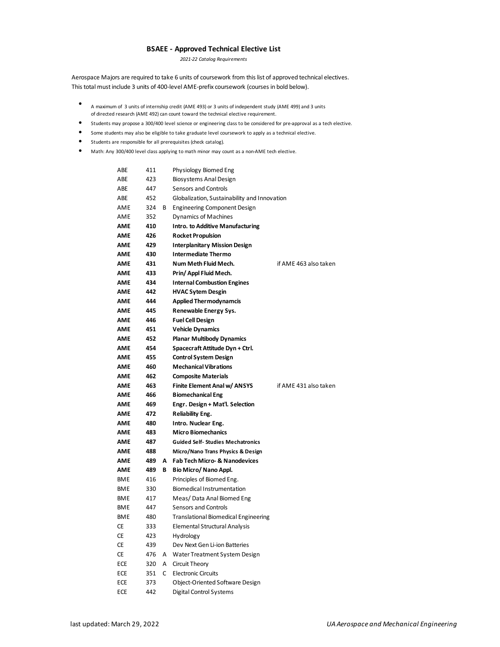## **BSAEE - Approved Technical Elective List**

*2021-22 Catalog Requirements*

Aerospace Majors are required to take 6 units of coursework from this list of approved technical electives. This total must include 3 units of 400-level AME-prefix coursework (courses in bold below).

- A maximum of3 units of internship credit (AME 493) or 3 units of independent study (AME 499) and 3 units of directed research (AME 492) can count toward the technical elective requirement.
- Students may propose a 300/400 level science or engineering class to be considered for pre-approval as a tech elective.
- Some students may also be eligible to take graduate level coursework to apply as a technical elective.
- Students are responsible for all prerequisites (check catalog).
- Math: Any 300/400 level class applying to math minor may count as a non-AME tech elective.

| ABE        | 411 |   | Physiology Biomed Eng                        |                       |
|------------|-----|---|----------------------------------------------|-----------------------|
| ABE        | 423 |   | Biosystems Anal Design                       |                       |
| ABE        | 447 |   | Sensors and Controls                         |                       |
| ABE        | 452 |   | Globalization, Sustainability and Innovation |                       |
| AME        | 324 | В | <b>Engineering Component Design</b>          |                       |
| AME        | 352 |   | Dynamics of Machines                         |                       |
| AME        | 410 |   | <b>Intro. to Additive Manufacturing</b>      |                       |
| AME        | 426 |   | <b>Rocket Propulsion</b>                     |                       |
| AME        | 429 |   | <b>Interplanitary Mission Design</b>         |                       |
| AME        | 430 |   | <b>Intermediate Thermo</b>                   |                       |
| AME        | 431 |   | Num Meth Fluid Mech.                         | if AME 463 also taken |
| AME        | 433 |   | Prin/Appl Fluid Mech.                        |                       |
| AME        | 434 |   | <b>Internal Combustion Engines</b>           |                       |
| AME        | 442 |   | <b>HVAC Sytem Desgin</b>                     |                       |
| AME        | 444 |   | <b>Applied Thermodynamcis</b>                |                       |
| AME        | 445 |   | Renewable Energy Sys.                        |                       |
| AME        | 446 |   | <b>Fuel Cell Design</b>                      |                       |
| AME        | 451 |   | <b>Vehicle Dynamics</b>                      |                       |
| AME        | 452 |   | <b>Planar Multibody Dynamics</b>             |                       |
| AME        | 454 |   | Spacecraft Attitude Dyn + Ctrl.              |                       |
| AME        | 455 |   | <b>Control System Design</b>                 |                       |
| AME        | 460 |   | <b>Mechanical Vibrations</b>                 |                       |
| AME        | 462 |   | <b>Composite Materials</b>                   |                       |
| AME        | 463 |   | Finite Element Anal w/ ANSYS                 | if AME 431 also taken |
| AME        | 466 |   | <b>Biomechanical Eng</b>                     |                       |
| AME        | 469 |   | Engr. Design + Mat'l. Selection              |                       |
| AME        | 472 |   | <b>Reliability Eng.</b>                      |                       |
| <b>AME</b> | 480 |   | Intro. Nuclear Eng.                          |                       |
| AME        | 483 |   | <b>Micro Biomechanics</b>                    |                       |
| AME        | 487 |   | <b>Guided Self- Studies Mechatronics</b>     |                       |
| AME        | 488 |   | Micro/Nano Trans Physics & Design            |                       |
| AME        | 489 | А | <b>Fab Tech Micro- &amp; Nanodevices</b>     |                       |
| AME        | 489 | В | Bio Micro/ Nano Appl.                        |                       |
| <b>BME</b> | 416 |   | Principles of Biomed Eng.                    |                       |
| <b>BME</b> | 330 |   | Biomedical Instrumentation                   |                       |
| <b>BME</b> | 417 |   | Meas/Data Anal Biomed Eng                    |                       |
| <b>BME</b> | 447 |   | Sensors and Controls                         |                       |
| <b>BME</b> | 480 |   | <b>Translational Biomedical Engineering</b>  |                       |
| СE         | 333 |   | Elemental Structural Analysis                |                       |
| СE         | 423 |   | Hydrology                                    |                       |
| CE         | 439 |   | Dev Next Gen Li-ion Batteries                |                       |
| <b>CE</b>  | 476 | Α | Water Treatment System Design                |                       |
| ECE        | 320 | Α | Circuit Theory                               |                       |
| ECE        | 351 | C | <b>Electronic Circuits</b>                   |                       |
| ECE        | 373 |   | Object-Oriented Software Design              |                       |
| ECE        | 442 |   | Digital Control Systems                      |                       |